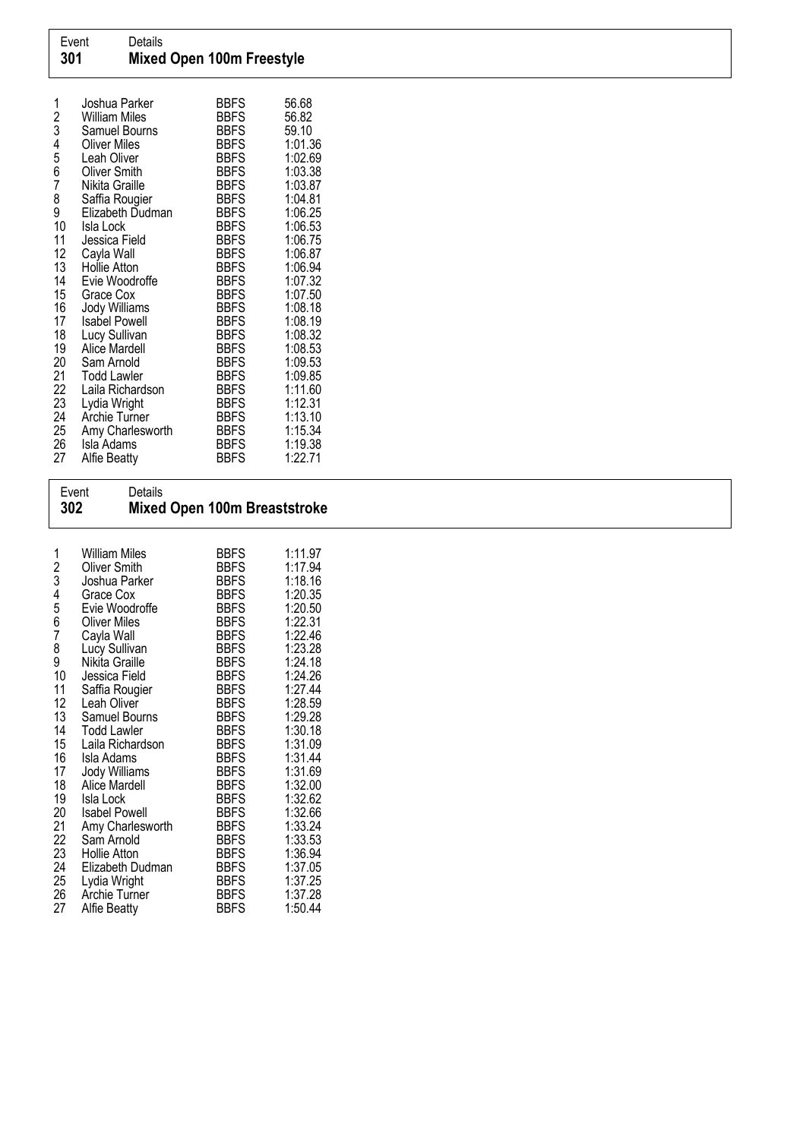| 1<br>2<br>3<br>$\begin{array}{c} 4 \\ 5 \\ 6 \end{array}$<br>7<br>8 | Joshua Parker<br><b>William Miles</b><br>Samuel Bourns<br><b>Oliver Miles</b><br>Leah Oliver<br><b>Oliver Smith</b><br>Nikita Graille<br>Saffia Rougier | <b>BBFS</b><br><b>BBFS</b><br><b>BBFS</b><br><b>BBFS</b><br><b>BBFS</b><br><b>BBFS</b><br><b>BBFS</b><br><b>BBFS</b> | 56.68<br>56.82<br>59.10<br>1:01.36<br>1:02.69<br>1:03.38<br>1:03.87<br>1:04.81 |
|---------------------------------------------------------------------|---------------------------------------------------------------------------------------------------------------------------------------------------------|----------------------------------------------------------------------------------------------------------------------|--------------------------------------------------------------------------------|
| 9<br>10                                                             | Elizabeth Dudman<br>Isla Lock                                                                                                                           | <b>BBFS</b><br><b>BBFS</b>                                                                                           | 1:06.25<br>1:06.53                                                             |
| 11                                                                  | Jessica Field                                                                                                                                           | <b>BBFS</b>                                                                                                          | 1:06.75                                                                        |
| 12                                                                  | Cayla Wall                                                                                                                                              | <b>BBFS</b>                                                                                                          | 1:06.87                                                                        |
| 13                                                                  | Hollie Atton                                                                                                                                            | <b>BBFS</b>                                                                                                          | 1:06.94                                                                        |
| 14                                                                  | Evie Woodroffe                                                                                                                                          | <b>BBFS</b>                                                                                                          | 1:07.32                                                                        |
| 15                                                                  | Grace Cox                                                                                                                                               | <b>BBFS</b>                                                                                                          | 1:07.50                                                                        |
| 16                                                                  | <b>Jody Williams</b>                                                                                                                                    | <b>BBFS</b>                                                                                                          | 1:08.18                                                                        |
| 17                                                                  | <b>Isabel Powell</b>                                                                                                                                    | <b>BBFS</b>                                                                                                          | 1:08.19                                                                        |
| 18                                                                  | Lucy Sullivan                                                                                                                                           | <b>BBFS</b>                                                                                                          | 1:08.32                                                                        |
| 19                                                                  | Alice Mardell                                                                                                                                           | <b>BBFS</b>                                                                                                          | 1:08.53                                                                        |
| 20                                                                  | Sam Arnold                                                                                                                                              | <b>BBFS</b>                                                                                                          | 1:09.53                                                                        |
| 21                                                                  | Todd Lawler                                                                                                                                             | <b>BBFS</b>                                                                                                          | 1:09.85                                                                        |
| 22                                                                  | Laila Richardson                                                                                                                                        | <b>BBFS</b>                                                                                                          | 1:11.60                                                                        |
| 23<br>24                                                            | Lydia Wright                                                                                                                                            | <b>BBFS</b>                                                                                                          | 1:12.31                                                                        |
| 25                                                                  | Archie Turner                                                                                                                                           | <b>BBFS</b><br><b>BBFS</b>                                                                                           | 1:13.10<br>1:15.34                                                             |
| 26                                                                  | Amy Charlesworth<br>Isla Adams                                                                                                                          | <b>BBFS</b>                                                                                                          | 1:19.38                                                                        |
| 27                                                                  | Alfie Beatty                                                                                                                                            | <b>BBFS</b>                                                                                                          | 1:22.71                                                                        |
|                                                                     |                                                                                                                                                         |                                                                                                                      |                                                                                |

| 302<br><b>Mixed Open 100m Breaststroke</b>                                                                                                                                                                                                                                                                                                                                                                                                                                                                                                                                                                                                                                                                                                                                                                                                                                                                                                                                                                                                                        |                                                                                                                                                                                                                                                                                                       |
|-------------------------------------------------------------------------------------------------------------------------------------------------------------------------------------------------------------------------------------------------------------------------------------------------------------------------------------------------------------------------------------------------------------------------------------------------------------------------------------------------------------------------------------------------------------------------------------------------------------------------------------------------------------------------------------------------------------------------------------------------------------------------------------------------------------------------------------------------------------------------------------------------------------------------------------------------------------------------------------------------------------------------------------------------------------------|-------------------------------------------------------------------------------------------------------------------------------------------------------------------------------------------------------------------------------------------------------------------------------------------------------|
| <b>BBFS</b><br><b>William Miles</b><br>1<br>23456<br><b>BBFS</b><br><b>Oliver Smith</b><br><b>BBFS</b><br>Joshua Parker<br><b>BBFS</b><br>Grace Cox<br><b>BBFS</b><br>Evie Woodroffe<br><b>BBFS</b><br><b>Oliver Miles</b><br>7<br><b>BBFS</b><br>Cayla Wall<br>8<br>Lucy Sullivan<br><b>BBFS</b><br>9<br>Nikita Graille<br><b>BBFS</b><br>10<br><b>BBFS</b><br>Jessica Field<br>11<br><b>BBFS</b><br>Saffia Rougier<br>12<br>Leah Oliver<br><b>BBFS</b><br>13<br><b>BBFS</b><br>Samuel Bourns<br>14<br><b>BBFS</b><br><b>Todd Lawler</b><br>15<br><b>BBFS</b><br>Laila Richardson<br>16<br><b>BBFS</b><br>Isla Adams<br>17<br>Jody Williams<br><b>BBFS</b><br>18<br>Alice Mardell<br><b>BBFS</b><br>19<br><b>BBFS</b><br>Isla Lock<br>20<br><b>Isabel Powell</b><br><b>BBFS</b><br>21<br>Amy Charlesworth<br><b>BBFS</b><br>22<br><b>BBFS</b><br>Sam Arnold<br>23<br><b>Hollie Atton</b><br><b>BBFS</b><br>24<br><b>BBFS</b><br>Elizabeth Dudman<br>25<br><b>BBFS</b><br>Lydia Wright<br>26<br>Archie Turner<br><b>BBFS</b><br>27<br>BBFS<br><b>Alfie Beatty</b> | 1:11.97<br>1:17.94<br>1:18.16<br>1:20.35<br>1:20.50<br>1:22.31<br>1:22.46<br>1:23.28<br>1:24.18<br>1:24.26<br>1:27.44<br>1:28.59<br>1:29.28<br>1:30.18<br>1:31.09<br>1:31.44<br>1:31.69<br>1:32.00<br>1:32.62<br>1:32.66<br>1:33.24<br>1:33.53<br>1:36.94<br>1:37.05<br>1:37.25<br>1:37.28<br>1:50.44 |